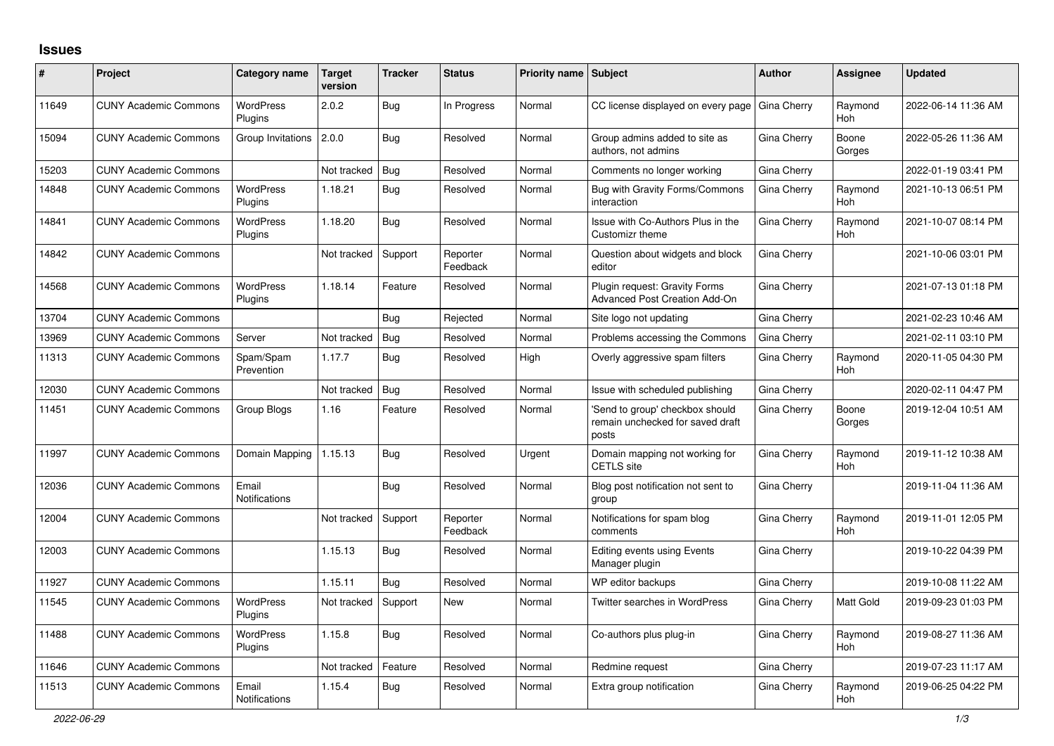## **Issues**

| #     | Project                      | Category name                 | <b>Target</b><br>version | <b>Tracker</b> | <b>Status</b>        | <b>Priority name   Subject</b> |                                                                             | <b>Author</b> | Assignee              | <b>Updated</b>      |
|-------|------------------------------|-------------------------------|--------------------------|----------------|----------------------|--------------------------------|-----------------------------------------------------------------------------|---------------|-----------------------|---------------------|
| 11649 | <b>CUNY Academic Commons</b> | <b>WordPress</b><br>Plugins   | 2.0.2                    | Bug            | In Progress          | Normal                         | CC license displayed on every page                                          | Gina Cherry   | Raymond<br><b>Hoh</b> | 2022-06-14 11:36 AM |
| 15094 | <b>CUNY Academic Commons</b> | Group Invitations             | 2.0.0                    | Bug            | Resolved             | Normal                         | Group admins added to site as<br>authors, not admins                        | Gina Cherry   | Boone<br>Gorges       | 2022-05-26 11:36 AM |
| 15203 | <b>CUNY Academic Commons</b> |                               | Not tracked              | <b>Bug</b>     | Resolved             | Normal                         | Comments no longer working                                                  | Gina Cherry   |                       | 2022-01-19 03:41 PM |
| 14848 | <b>CUNY Academic Commons</b> | <b>WordPress</b><br>Plugins   | 1.18.21                  | <b>Bug</b>     | Resolved             | Normal                         | <b>Bug with Gravity Forms/Commons</b><br>interaction                        | Gina Cherry   | Raymond<br>Hoh        | 2021-10-13 06:51 PM |
| 14841 | <b>CUNY Academic Commons</b> | <b>WordPress</b><br>Plugins   | 1.18.20                  | <b>Bug</b>     | Resolved             | Normal                         | Issue with Co-Authors Plus in the<br>Customizr theme                        | Gina Cherry   | Raymond<br><b>Hoh</b> | 2021-10-07 08:14 PM |
| 14842 | <b>CUNY Academic Commons</b> |                               | Not tracked              | Support        | Reporter<br>Feedback | Normal                         | Question about widgets and block<br>editor                                  | Gina Cherry   |                       | 2021-10-06 03:01 PM |
| 14568 | <b>CUNY Academic Commons</b> | <b>WordPress</b><br>Plugins   | 1.18.14                  | Feature        | Resolved             | Normal                         | Plugin request: Gravity Forms<br>Advanced Post Creation Add-On              | Gina Cherry   |                       | 2021-07-13 01:18 PM |
| 13704 | <b>CUNY Academic Commons</b> |                               |                          | Bug            | Rejected             | Normal                         | Site logo not updating                                                      | Gina Cherry   |                       | 2021-02-23 10:46 AM |
| 13969 | <b>CUNY Academic Commons</b> | Server                        | Not tracked              | Bug            | Resolved             | Normal                         | Problems accessing the Commons                                              | Gina Cherry   |                       | 2021-02-11 03:10 PM |
| 11313 | <b>CUNY Academic Commons</b> | Spam/Spam<br>Prevention       | 1.17.7                   | Bug            | Resolved             | High                           | Overly aggressive spam filters                                              | Gina Cherry   | Raymond<br><b>Hoh</b> | 2020-11-05 04:30 PM |
| 12030 | <b>CUNY Academic Commons</b> |                               | Not tracked              | Bug            | Resolved             | Normal                         | Issue with scheduled publishing                                             | Gina Cherry   |                       | 2020-02-11 04:47 PM |
| 11451 | <b>CUNY Academic Commons</b> | Group Blogs                   | 1.16                     | Feature        | Resolved             | Normal                         | Send to group' checkbox should<br>remain unchecked for saved draft<br>posts | Gina Cherry   | Boone<br>Gorges       | 2019-12-04 10:51 AM |
| 11997 | <b>CUNY Academic Commons</b> | Domain Mapping                | 1.15.13                  | <b>Bug</b>     | Resolved             | Urgent                         | Domain mapping not working for<br><b>CETLS</b> site                         | Gina Cherry   | Raymond<br><b>Hoh</b> | 2019-11-12 10:38 AM |
| 12036 | <b>CUNY Academic Commons</b> | Email<br><b>Notifications</b> |                          | Bug            | Resolved             | Normal                         | Blog post notification not sent to<br>group                                 | Gina Cherry   |                       | 2019-11-04 11:36 AM |
| 12004 | <b>CUNY Academic Commons</b> |                               | Not tracked              | Support        | Reporter<br>Feedback | Normal                         | Notifications for spam blog<br>comments                                     | Gina Cherry   | Raymond<br><b>Hoh</b> | 2019-11-01 12:05 PM |
| 12003 | <b>CUNY Academic Commons</b> |                               | 1.15.13                  | Bug            | Resolved             | Normal                         | <b>Editing events using Events</b><br>Manager plugin                        | Gina Cherry   |                       | 2019-10-22 04:39 PM |
| 11927 | <b>CUNY Academic Commons</b> |                               | 1.15.11                  | <b>Bug</b>     | Resolved             | Normal                         | WP editor backups                                                           | Gina Cherry   |                       | 2019-10-08 11:22 AM |
| 11545 | <b>CUNY Academic Commons</b> | <b>WordPress</b><br>Plugins   | Not tracked              | Support        | <b>New</b>           | Normal                         | Twitter searches in WordPress                                               | Gina Cherry   | <b>Matt Gold</b>      | 2019-09-23 01:03 PM |
| 11488 | <b>CUNY Academic Commons</b> | <b>WordPress</b><br>Plugins   | 1.15.8                   | <b>Bug</b>     | Resolved             | Normal                         | Co-authors plus plug-in                                                     | Gina Cherry   | Raymond<br><b>Hoh</b> | 2019-08-27 11:36 AM |
| 11646 | <b>CUNY Academic Commons</b> |                               | Not tracked              | Feature        | Resolved             | Normal                         | Redmine request                                                             | Gina Cherry   |                       | 2019-07-23 11:17 AM |
| 11513 | <b>CUNY Academic Commons</b> | Email<br><b>Notifications</b> | 1.15.4                   | <b>Bug</b>     | Resolved             | Normal                         | Extra group notification                                                    | Gina Cherry   | Raymond<br>Hoh        | 2019-06-25 04:22 PM |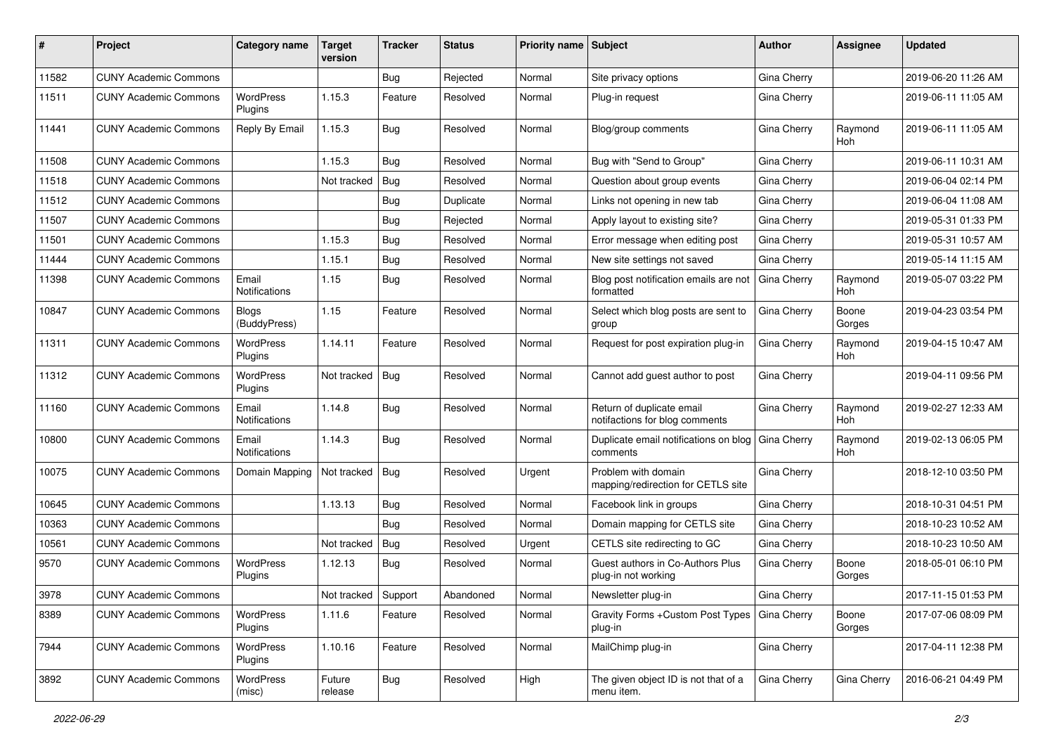| #     | Project                      | Category name                 | Target<br>version | <b>Tracker</b> | <b>Status</b> | Priority name Subject |                                                             | Author      | Assignee              | <b>Updated</b>      |
|-------|------------------------------|-------------------------------|-------------------|----------------|---------------|-----------------------|-------------------------------------------------------------|-------------|-----------------------|---------------------|
| 11582 | <b>CUNY Academic Commons</b> |                               |                   | <b>Bug</b>     | Rejected      | Normal                | Site privacy options                                        | Gina Cherry |                       | 2019-06-20 11:26 AM |
| 11511 | <b>CUNY Academic Commons</b> | <b>WordPress</b><br>Plugins   | 1.15.3            | Feature        | Resolved      | Normal                | Plug-in request                                             | Gina Cherry |                       | 2019-06-11 11:05 AM |
| 11441 | <b>CUNY Academic Commons</b> | Reply By Email                | 1.15.3            | Bug            | Resolved      | Normal                | Blog/group comments                                         | Gina Cherry | Raymond<br><b>Hoh</b> | 2019-06-11 11:05 AM |
| 11508 | <b>CUNY Academic Commons</b> |                               | 1.15.3            | Bug            | Resolved      | Normal                | Bug with "Send to Group"                                    | Gina Cherry |                       | 2019-06-11 10:31 AM |
| 11518 | <b>CUNY Academic Commons</b> |                               | Not tracked       | Bug            | Resolved      | Normal                | Question about group events                                 | Gina Cherry |                       | 2019-06-04 02:14 PM |
| 11512 | <b>CUNY Academic Commons</b> |                               |                   | <b>Bug</b>     | Duplicate     | Normal                | Links not opening in new tab                                | Gina Cherry |                       | 2019-06-04 11:08 AM |
| 11507 | <b>CUNY Academic Commons</b> |                               |                   | <b>Bug</b>     | Rejected      | Normal                | Apply layout to existing site?                              | Gina Cherry |                       | 2019-05-31 01:33 PM |
| 11501 | <b>CUNY Academic Commons</b> |                               | 1.15.3            | <b>Bug</b>     | Resolved      | Normal                | Error message when editing post                             | Gina Cherry |                       | 2019-05-31 10:57 AM |
| 11444 | <b>CUNY Academic Commons</b> |                               | 1.15.1            | <b>Bug</b>     | Resolved      | Normal                | New site settings not saved                                 | Gina Cherry |                       | 2019-05-14 11:15 AM |
| 11398 | <b>CUNY Academic Commons</b> | Email<br><b>Notifications</b> | 1.15              | Bug            | Resolved      | Normal                | Blog post notification emails are not<br>formatted          | Gina Cherry | Raymond<br><b>Hoh</b> | 2019-05-07 03:22 PM |
| 10847 | <b>CUNY Academic Commons</b> | <b>Blogs</b><br>(BuddyPress)  | 1.15              | Feature        | Resolved      | Normal                | Select which blog posts are sent to<br>group                | Gina Cherry | Boone<br>Gorges       | 2019-04-23 03:54 PM |
| 11311 | <b>CUNY Academic Commons</b> | WordPress<br>Plugins          | 1.14.11           | Feature        | Resolved      | Normal                | Request for post expiration plug-in                         | Gina Cherry | Raymond<br>Hoh        | 2019-04-15 10:47 AM |
| 11312 | <b>CUNY Academic Commons</b> | <b>WordPress</b><br>Plugins   | Not tracked       | Bug            | Resolved      | Normal                | Cannot add guest author to post                             | Gina Cherry |                       | 2019-04-11 09:56 PM |
| 11160 | <b>CUNY Academic Commons</b> | Email<br>Notifications        | 1.14.8            | Bug            | Resolved      | Normal                | Return of duplicate email<br>notifactions for blog comments | Gina Cherry | Raymond<br><b>Hoh</b> | 2019-02-27 12:33 AM |
| 10800 | <b>CUNY Academic Commons</b> | Email<br>Notifications        | 1.14.3            | Bug            | Resolved      | Normal                | Duplicate email notifications on blog<br>comments           | Gina Cherry | Raymond<br>Hoh        | 2019-02-13 06:05 PM |
| 10075 | <b>CUNY Academic Commons</b> | Domain Mapping                | Not tracked       | Bug            | Resolved      | Urgent                | Problem with domain<br>mapping/redirection for CETLS site   | Gina Cherry |                       | 2018-12-10 03:50 PM |
| 10645 | <b>CUNY Academic Commons</b> |                               | 1.13.13           | Bug            | Resolved      | Normal                | Facebook link in groups                                     | Gina Cherry |                       | 2018-10-31 04:51 PM |
| 10363 | <b>CUNY Academic Commons</b> |                               |                   | Bug            | Resolved      | Normal                | Domain mapping for CETLS site                               | Gina Cherry |                       | 2018-10-23 10:52 AM |
| 10561 | <b>CUNY Academic Commons</b> |                               | Not tracked       | Bug            | Resolved      | Urgent                | CETLS site redirecting to GC                                | Gina Cherry |                       | 2018-10-23 10:50 AM |
| 9570  | <b>CUNY Academic Commons</b> | <b>WordPress</b><br>Plugins   | 1.12.13           | Bug            | Resolved      | Normal                | Guest authors in Co-Authors Plus<br>plug-in not working     | Gina Cherry | Boone<br>Gorges       | 2018-05-01 06:10 PM |
| 3978  | <b>CUNY Academic Commons</b> |                               | Not tracked       | Support        | Abandoned     | Normal                | Newsletter plug-in                                          | Gina Cherry |                       | 2017-11-15 01:53 PM |
| 8389  | <b>CUNY Academic Commons</b> | <b>WordPress</b><br>Plugins   | 1.11.6            | Feature        | Resolved      | Normal                | Gravity Forms + Custom Post Types   Gina Cherry<br>plug-in  |             | Boone<br>Gorges       | 2017-07-06 08:09 PM |
| 7944  | <b>CUNY Academic Commons</b> | WordPress<br>Plugins          | 1.10.16           | Feature        | Resolved      | Normal                | MailChimp plug-in                                           | Gina Cherry |                       | 2017-04-11 12:38 PM |
| 3892  | <b>CUNY Academic Commons</b> | WordPress<br>(misc)           | Future<br>release | <b>Bug</b>     | Resolved      | High                  | The given object ID is not that of a<br>menu item.          | Gina Cherry | Gina Cherry           | 2016-06-21 04:49 PM |